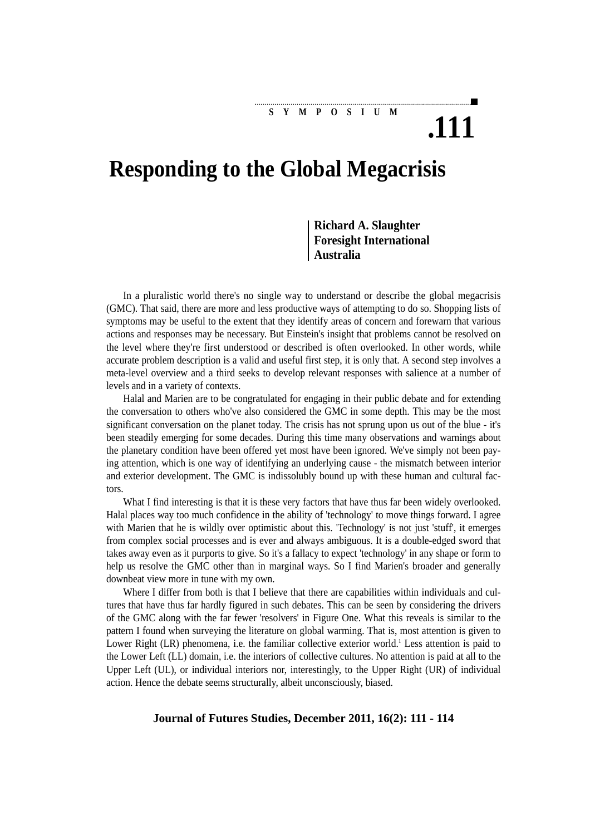**SYMPOSIUM**

## **Responding to the Global Megacrisis**

**Richard A. Slaughter Foresight International Australia**

**.111**

In a pluralistic world there's no single way to understand or describe the global megacrisis (GMC). That said, there are more and less productive ways of attempting to do so. Shopping lists of symptoms may be useful to the extent that they identify areas of concern and forewarn that various actions and responses may be necessary. But Einstein's insight that problems cannot be resolved on the level where they're first understood or described is often overlooked. In other words, while accurate problem description is a valid and useful first step, it is only that. A second step involves a meta-level overview and a third seeks to develop relevant responses with salience at a number of levels and in a variety of contexts.

Halal and Marien are to be congratulated for engaging in their public debate and for extending the conversation to others who've also considered the GMC in some depth. This may be the most significant conversation on the planet today. The crisis has not sprung upon us out of the blue - it's been steadily emerging for some decades. During this time many observations and warnings about the planetary condition have been offered yet most have been ignored. We've simply not been paying attention, which is one way of identifying an underlying cause - the mismatch between interior and exterior development. The GMC is indissolubly bound up with these human and cultural factors.

What I find interesting is that it is these very factors that have thus far been widely overlooked. Halal places way too much confidence in the ability of 'technology' to move things forward. I agree with Marien that he is wildly over optimistic about this. 'Technology' is not just 'stuff', it emerges from complex social processes and is ever and always ambiguous. It is a double-edged sword that takes away even as it purports to give. So it's a fallacy to expect 'technology' in any shape or form to help us resolve the GMC other than in marginal ways. So I find Marien's broader and generally downbeat view more in tune with my own.

Where I differ from both is that I believe that there are capabilities within individuals and cultures that have thus far hardly figured in such debates. This can be seen by considering the drivers of the GMC along with the far fewer 'resolvers' in Figure One. What this reveals is similar to the pattern I found when surveying the literature on global warming. That is, most attention is given to Lower Right (LR) phenomena, i.e. the familiar collective exterior world.<sup>1</sup> Less attention is paid to the Lower Left (LL) domain, i.e. the interiors of collective cultures. No attention is paid at all to the Upper Left (UL), or individual interiors nor, interestingly, to the Upper Right (UR) of individual action. Hence the debate seems structurally, albeit unconsciously, biased.

## **Journal of Futures Studies, December 2011, 16(2): 111 - 114**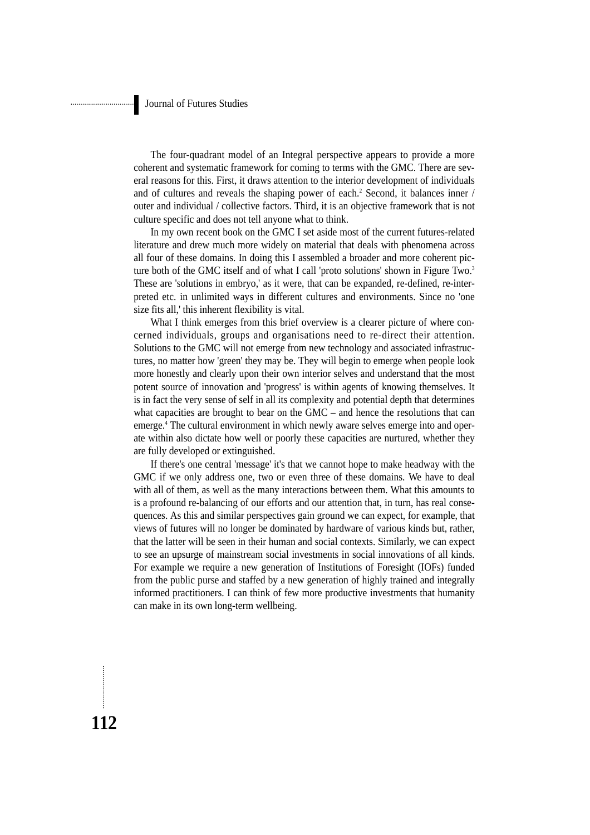The four-quadrant model of an Integral perspective appears to provide a more coherent and systematic framework for coming to terms with the GMC. There are several reasons for this. First, it draws attention to the interior development of individuals and of cultures and reveals the shaping power of each.<sup>2</sup> Second, it balances inner / outer and individual / collective factors. Third, it is an objective framework that is not culture specific and does not tell anyone what to think.

In my own recent book on the GMC I set aside most of the current futures-related literature and drew much more widely on material that deals with phenomena across all four of these domains. In doing this I assembled a broader and more coherent picture both of the GMC itself and of what I call 'proto solutions' shown in Figure Two.<sup>3</sup> These are 'solutions in embryo,' as it were, that can be expanded, re-defined, re-interpreted etc. in unlimited ways in different cultures and environments. Since no 'one size fits all,' this inherent flexibility is vital.

What I think emerges from this brief overview is a clearer picture of where concerned individuals, groups and organisations need to re-direct their attention. Solutions to the GMC will not emerge from new technology and associated infrastructures, no matter how 'green' they may be. They will begin to emerge when people look more honestly and clearly upon their own interior selves and understand that the most potent source of innovation and 'progress' is within agents of knowing themselves. It is in fact the very sense of self in all its complexity and potential depth that determines what capacities are brought to bear on the GMC – and hence the resolutions that can emerge.4 The cultural environment in which newly aware selves emerge into and operate within also dictate how well or poorly these capacities are nurtured, whether they are fully developed or extinguished.

If there's one central 'message' it's that we cannot hope to make headway with the GMC if we only address one, two or even three of these domains. We have to deal with all of them, as well as the many interactions between them. What this amounts to is a profound re-balancing of our efforts and our attention that, in turn, has real consequences. As this and similar perspectives gain ground we can expect, for example, that views of futures will no longer be dominated by hardware of various kinds but, rather, that the latter will be seen in their human and social contexts. Similarly, we can expect to see an upsurge of mainstream social investments in social innovations of all kinds. For example we require a new generation of Institutions of Foresight (IOFs) funded from the public purse and staffed by a new generation of highly trained and integrally informed practitioners. I can think of few more productive investments that humanity can make in its own long-term wellbeing.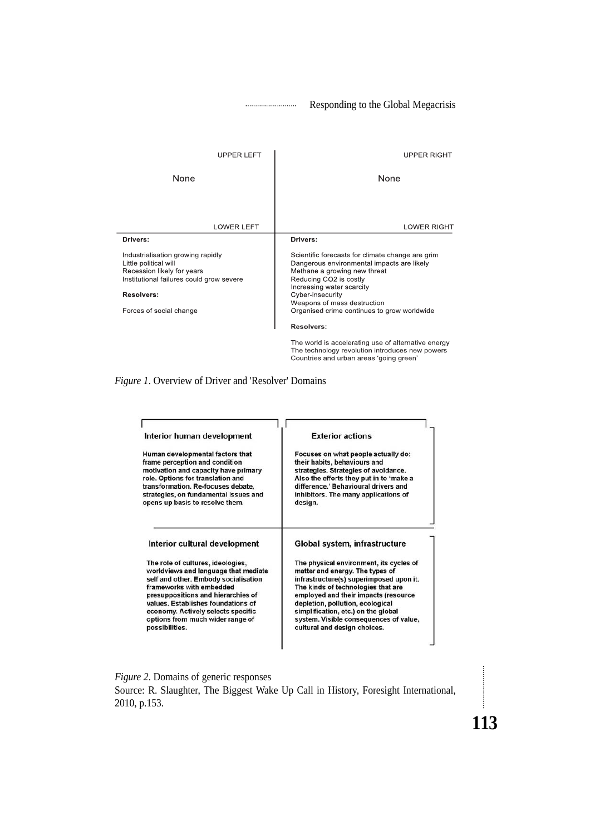Responding to the Global Megacrisis

| <b>UPPER LEFT</b>                                                                                                                                                                    | <b>UPPER RIGHT</b>                                                                                                                                                                                                                                                                      |
|--------------------------------------------------------------------------------------------------------------------------------------------------------------------------------------|-----------------------------------------------------------------------------------------------------------------------------------------------------------------------------------------------------------------------------------------------------------------------------------------|
| None                                                                                                                                                                                 | None                                                                                                                                                                                                                                                                                    |
| <b>LOWER LEFT</b>                                                                                                                                                                    | <b>LOWER RIGHT</b>                                                                                                                                                                                                                                                                      |
| Drivers:                                                                                                                                                                             | Drivers:                                                                                                                                                                                                                                                                                |
| Industrialisation growing rapidly<br>Little political will<br>Recession likely for years<br>Institutional failures could grow severe<br><b>Resolvers:</b><br>Forces of social change | Scientific forecasts for climate change are grim<br>Dangerous environmental impacts are likely<br>Methane a growing new threat<br>Reducing CO2 is costly<br>Increasing water scarcity<br>Cyber-insecurity<br>Weapons of mass destruction<br>Organised crime continues to grow worldwide |
|                                                                                                                                                                                      | <b>Resolvers:</b><br>The world is accelerating use of alternative energy<br>The technology revolution introduces new powers                                                                                                                                                             |
|                                                                                                                                                                                      | Countries and urban areas 'going green'                                                                                                                                                                                                                                                 |

*Figure 1*. Overview of Driver and 'Resolver' Domains

| Interior human development            | <b>Exterior actions</b>                 |
|---------------------------------------|-----------------------------------------|
| Human developmental factors that      | Focuses on what people actually do:     |
| frame perception and condition        | their habits, behaviours and            |
| motivation and capacity have primary  | strategies. Strategies of avoidance.    |
| role. Options for translation and     | Also the efforts they put in to 'make a |
| transformation. Re-focuses debate,    | difference.' Behavioural drivers and    |
| strategies, on fundamental issues and | inhibitors. The many applications of    |
| opens up basis to resolve them.       | design.                                 |
| Interior cultural development         | Global system, infrastructure           |
| The role of cultures, ideologies,     | The physical environment, its cycles of |
| worldviews and language that mediate  | matter and energy. The types of         |
| self and other. Embody socialisation  | infrastructure(s) superimposed upon it. |
| frameworks with embedded              | The kinds of technologies that are      |
| presuppositions and hierarchies of    | employed and their impacts (resource    |
| values. Establishes foundations of    | depletion, pollution, ecological        |
| economy. Actively selects specific    | simplification, etc.) on the global     |
| options from much wider range of      | system. Visible consequences of value,  |
| possibilities.                        | cultural and design choices.            |

*Figure 2*. Domains of generic responses Source: R. Slaughter, The Biggest Wake Up Call in History, Foresight International, 2010, p.153.

**113**